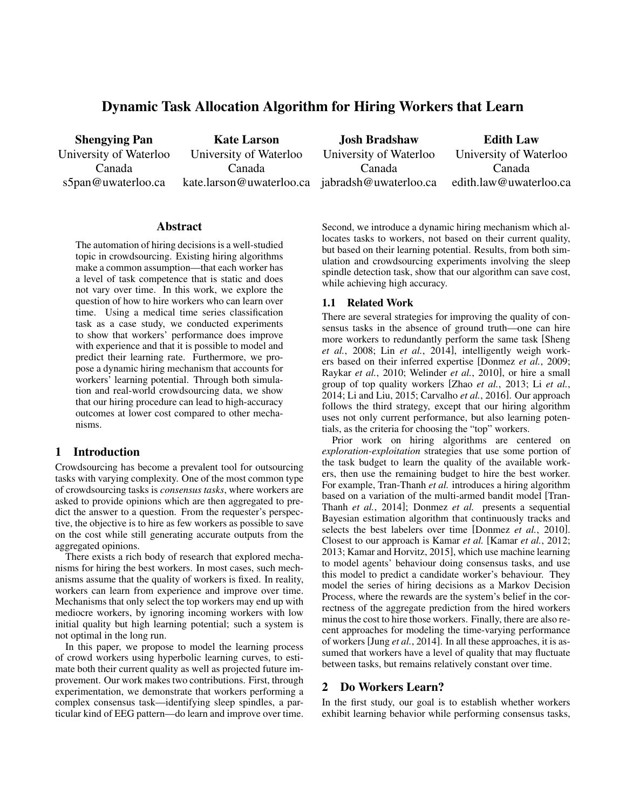# Dynamic Task Allocation Algorithm for Hiring Workers that Learn

Shengying Pan University of Waterloo Canada s5pan@uwaterloo.ca

Kate Larson University of Waterloo Canada kate.larson@uwaterloo.ca jabradsh@uwaterloo.ca

Josh Bradshaw University of Waterloo Canada

Edith Law University of Waterloo Canada edith.law@uwaterloo.ca

#### **Abstract**

The automation of hiring decisions is a well-studied topic in crowdsourcing. Existing hiring algorithms make a common assumption—that each worker has a level of task competence that is static and does not vary over time. In this work, we explore the question of how to hire workers who can learn over time. Using a medical time series classification task as a case study, we conducted experiments to show that workers' performance does improve with experience and that it is possible to model and predict their learning rate. Furthermore, we propose a dynamic hiring mechanism that accounts for workers' learning potential. Through both simulation and real-world crowdsourcing data, we show that our hiring procedure can lead to high-accuracy outcomes at lower cost compared to other mechanisms.

# 1 Introduction

Crowdsourcing has become a prevalent tool for outsourcing tasks with varying complexity. One of the most common type of crowdsourcing tasks is *consensus tasks*, where workers are asked to provide opinions which are then aggregated to predict the answer to a question. From the requester's perspective, the objective is to hire as few workers as possible to save on the cost while still generating accurate outputs from the aggregated opinions.

There exists a rich body of research that explored mechanisms for hiring the best workers. In most cases, such mechanisms assume that the quality of workers is fixed. In reality, workers can learn from experience and improve over time. Mechanisms that only select the top workers may end up with mediocre workers, by ignoring incoming workers with low initial quality but high learning potential; such a system is not optimal in the long run.

In this paper, we propose to model the learning process of crowd workers using hyperbolic learning curves, to estimate both their current quality as well as projected future improvement. Our work makes two contributions. First, through experimentation, we demonstrate that workers performing a complex consensus task—identifying sleep spindles, a particular kind of EEG pattern—do learn and improve over time. Second, we introduce a dynamic hiring mechanism which allocates tasks to workers, not based on their current quality, but based on their learning potential. Results, from both simulation and crowdsourcing experiments involving the sleep spindle detection task, show that our algorithm can save cost, while achieving high accuracy.

# 1.1 Related Work

There are several strategies for improving the quality of consensus tasks in the absence of ground truth—one can hire more workers to redundantly perform the same task [Sheng *et al.*, 2008; Lin *et al.*, 2014], intelligently weigh workers based on their inferred expertise [Donmez *et al.*, 2009; Raykar *et al.*, 2010; Welinder *et al.*, 2010], or hire a small group of top quality workers [Zhao *et al.*, 2013; Li *et al.*, 2014; Li and Liu, 2015; Carvalho *et al.*, 2016]. Our approach follows the third strategy, except that our hiring algorithm uses not only current performance, but also learning potentials, as the criteria for choosing the "top" workers.

Prior work on hiring algorithms are centered on *exploration-exploitation* strategies that use some portion of the task budget to learn the quality of the available workers, then use the remaining budget to hire the best worker. For example, Tran-Thanh *et al.* introduces a hiring algorithm based on a variation of the multi-armed bandit model [Tran-Thanh *et al.*, 2014]; Donmez *et al.* presents a sequential Bayesian estimation algorithm that continuously tracks and selects the best labelers over time [Donmez *et al.*, 2010]. Closest to our approach is Kamar *et al.* [Kamar *et al.*, 2012; 2013; Kamar and Horvitz, 2015], which use machine learning to model agents' behaviour doing consensus tasks, and use this model to predict a candidate worker's behaviour. They model the series of hiring decisions as a Markov Decision Process, where the rewards are the system's belief in the correctness of the aggregate prediction from the hired workers minus the cost to hire those workers. Finally, there are also recent approaches for modeling the time-varying performance of workers [Jung *et al.*, 2014]. In all these approaches, it is assumed that workers have a level of quality that may fluctuate between tasks, but remains relatively constant over time.

### 2 Do Workers Learn?

In the first study, our goal is to establish whether workers exhibit learning behavior while performing consensus tasks,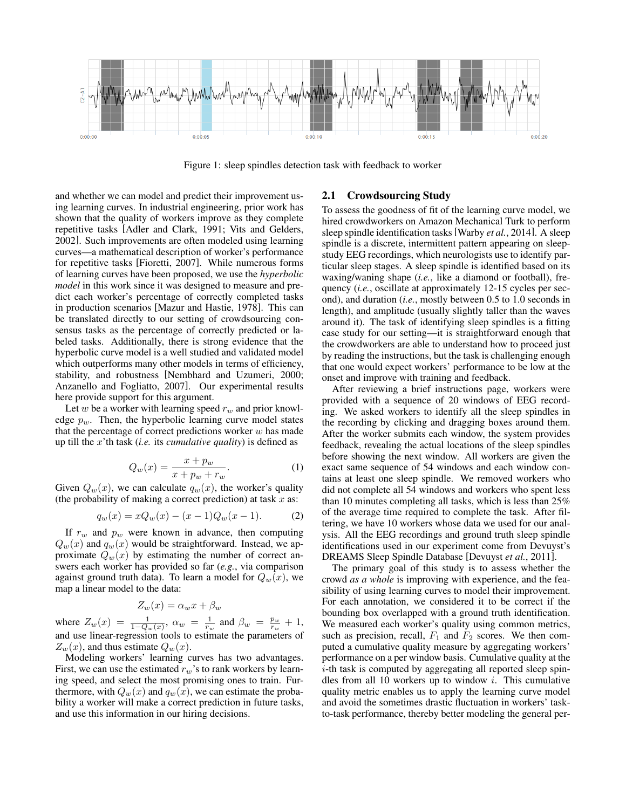

Figure 1: sleep spindles detection task with feedback to worker

and whether we can model and predict their improvement using learning curves. In industrial engineering, prior work has shown that the quality of workers improve as they complete repetitive tasks [Adler and Clark, 1991; Vits and Gelders, 2002]. Such improvements are often modeled using learning curves—a mathematical description of worker's performance for repetitive tasks [Fioretti, 2007]. While numerous forms of learning curves have been proposed, we use the *hyperbolic model* in this work since it was designed to measure and predict each worker's percentage of correctly completed tasks in production scenarios [Mazur and Hastie, 1978]. This can be translated directly to our setting of crowdsourcing consensus tasks as the percentage of correctly predicted or labeled tasks. Additionally, there is strong evidence that the hyperbolic curve model is a well studied and validated model which outperforms many other models in terms of efficiency, stability, and robustness [Nembhard and Uzumeri, 2000; Anzanello and Fogliatto, 2007]. Our experimental results here provide support for this argument.

Let w be a worker with learning speed  $r_w$  and prior knowledge  $p_w$ . Then, the hyperbolic learning curve model states that the percentage of correct predictions worker  $w$  has made up till the x'th task (*i.e.* its *cumulative quality*) is defined as

$$
Q_w(x) = \frac{x + p_w}{x + p_w + r_w}.\tag{1}
$$

Given  $Q_w(x)$ , we can calculate  $q_w(x)$ , the worker's quality (the probability of making a correct prediction) at task  $x$  as:

$$
q_w(x) = xQ_w(x) - (x - 1)Q_w(x - 1).
$$
 (2)

If  $r_w$  and  $p_w$  were known in advance, then computing  $Q_w(x)$  and  $q_w(x)$  would be straightforward. Instead, we approximate  $Q_w(x)$  by estimating the number of correct answers each worker has provided so far (*e.g.*, via comparison against ground truth data). To learn a model for  $Q_w(x)$ , we map a linear model to the data:

$$
Z_w(x) = \alpha_w x + \beta_w
$$

where  $Z_w(x) = \frac{1}{1 - Q_w(x)}$ ,  $\alpha_w = \frac{1}{r_w}$  and  $\beta_w = \frac{p_w}{r_w} + 1$ , and use linear-regression tools to estimate the parameters of  $Z_w(x)$ , and thus estimate  $Q_w(x)$ .

Modeling workers' learning curves has two advantages. First, we can use the estimated  $r_w$ 's to rank workers by learning speed, and select the most promising ones to train. Furthermore, with  $Q_w(x)$  and  $q_w(x)$ , we can estimate the probability a worker will make a correct prediction in future tasks, and use this information in our hiring decisions.

#### 2.1 Crowdsourcing Study

To assess the goodness of fit of the learning curve model, we hired crowdworkers on Amazon Mechanical Turk to perform sleep spindle identification tasks[Warby *et al.*, 2014]. A sleep spindle is a discrete, intermittent pattern appearing on sleepstudy EEG recordings, which neurologists use to identify particular sleep stages. A sleep spindle is identified based on its waxing/waning shape (*i.e.*, like a diamond or football), frequency (*i.e.*, oscillate at approximately 12-15 cycles per second), and duration (*i.e.*, mostly between 0.5 to 1.0 seconds in length), and amplitude (usually slightly taller than the waves around it). The task of identifying sleep spindles is a fitting case study for our setting—it is straightforward enough that the crowdworkers are able to understand how to proceed just by reading the instructions, but the task is challenging enough that one would expect workers' performance to be low at the onset and improve with training and feedback.

After reviewing a brief instructions page, workers were provided with a sequence of 20 windows of EEG recording. We asked workers to identify all the sleep spindles in the recording by clicking and dragging boxes around them. After the worker submits each window, the system provides feedback, revealing the actual locations of the sleep spindles before showing the next window. All workers are given the exact same sequence of 54 windows and each window contains at least one sleep spindle. We removed workers who did not complete all 54 windows and workers who spent less than 10 minutes completing all tasks, which is less than 25% of the average time required to complete the task. After filtering, we have 10 workers whose data we used for our analysis. All the EEG recordings and ground truth sleep spindle identifications used in our experiment come from Devuyst's DREAMS Sleep Spindle Database [Devuyst *et al.*, 2011].

The primary goal of this study is to assess whether the crowd *as a whole* is improving with experience, and the feasibility of using learning curves to model their improvement. For each annotation, we considered it to be correct if the bounding box overlapped with a ground truth identification. We measured each worker's quality using common metrics, such as precision, recall,  $F_1$  and  $F_2$  scores. We then computed a cumulative quality measure by aggregating workers' performance on a per window basis. Cumulative quality at the i-th task is computed by aggregating all reported sleep spindles from all 10 workers up to window  $i$ . This cumulative quality metric enables us to apply the learning curve model and avoid the sometimes drastic fluctuation in workers' taskto-task performance, thereby better modeling the general per-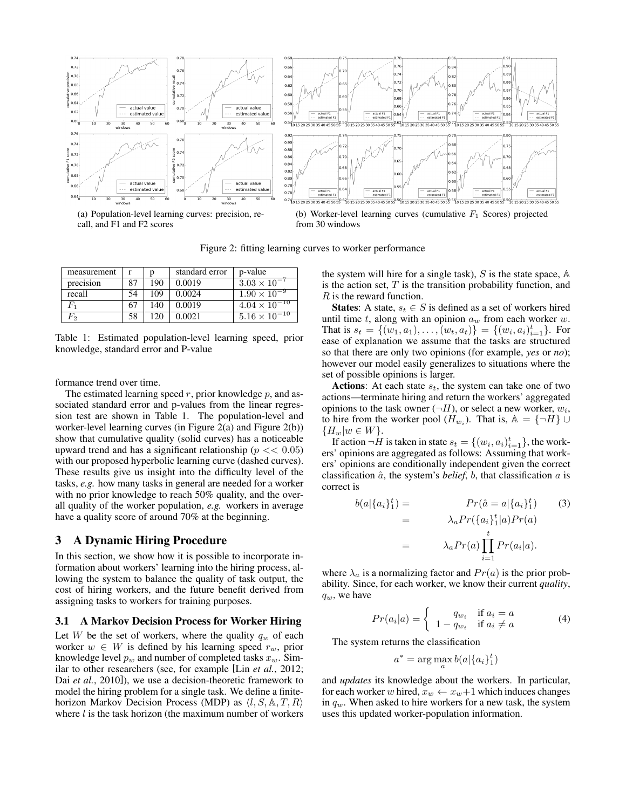

call, and F1 and F2 scores

(b) Worker-level learning curves (cumulative  $F_1$  Scores) projected from 30 windows

Figure 2: fitting learning curves to worker performance

| measurement |    | n   | standard error | p-value                |
|-------------|----|-----|----------------|------------------------|
| precision   | 87 | 190 | 0.0019         | $3.03 \times 10^{-7}$  |
| recall      | 54 | 109 | 0.0024         | $1.90 \times 10^{-9}$  |
|             | 67 | 140 | 0.0019         | $4.04 \times 10^{-10}$ |
| F,          | 58 | 120 | 0.0021         | $5.16 \times 10^{-10}$ |

Table 1: Estimated population-level learning speed, prior knowledge, standard error and P-value

formance trend over time.

The estimated learning speed  $r$ , prior knowledge  $p$ , and associated standard error and p-values from the linear regression test are shown in Table 1. The population-level and worker-level learning curves (in Figure 2(a) and Figure 2(b)) show that cumulative quality (solid curves) has a noticeable upward trend and has a significant relationship ( $p \ll 0.05$ ) with our proposed hyperbolic learning curve (dashed curves). These results give us insight into the difficulty level of the tasks, *e.g.* how many tasks in general are needed for a worker with no prior knowledge to reach 50% quality, and the overall quality of the worker population, *e.g.* workers in average have a quality score of around 70% at the beginning.

### 3 A Dynamic Hiring Procedure

In this section, we show how it is possible to incorporate information about workers' learning into the hiring process, allowing the system to balance the quality of task output, the cost of hiring workers, and the future benefit derived from assigning tasks to workers for training purposes.

### 3.1 A Markov Decision Process for Worker Hiring

Let W be the set of workers, where the quality  $q_w$  of each worker  $w \in W$  is defined by his learning speed  $r_w$ , prior knowledge level  $p_w$  and number of completed tasks  $x_w$ . Similar to other researchers (see, for example [Lin *et al.*, 2012; Dai *et al.*, 2010]), we use a decision-theoretic framework to model the hiring problem for a single task. We define a finitehorizon Markov Decision Process (MDP) as  $\langle l, S, \mathbb{A}, T, R \rangle$ where  $l$  is the task horizon (the maximum number of workers the system will hire for a single task),  $S$  is the state space,  $A$ is the action set,  $T$  is the transition probability function, and R is the reward function.

**States:** A state,  $s_t \in S$  is defined as a set of workers hired until time t, along with an opinion  $a_w$  from each worker w. That is  $s_t = \{(w_1, a_1), \ldots, (w_t, a_t)\} = \{(w_i, a_i)_{i=1}^t\}$ . For ease of explanation we assume that the tasks are structured so that there are only two opinions (for example, *yes* or *no*); however our model easily generalizes to situations where the set of possible opinions is larger.

Actions: At each state  $s_t$ , the system can take one of two actions—terminate hiring and return the workers' aggregated opinions to the task owner  $(\neg H)$ , or select a new worker,  $w_i$ , to hire from the worker pool  $(H_{w_i})$ . That is,  $\mathbb{A} = {\neg H} \cup$  ${H_w|w \in W}.$ 

If action  $\neg H$  is taken in state  $s_t = \{(w_i, a_i)_{i=1}^t\}$ , the workers' opinions are aggregated as follows: Assuming that workers' opinions are conditionally independent given the correct classification  $\hat{a}$ , the system's *belief*,  $b$ , that classification  $a$  is correct is

$$
b(a|\{a_i\}_1^t) = Pr(\hat{a} = a|\{a_i\}_1^t)
$$
(3)  

$$
= \lambda_a Pr(\{a_i\}_1^t|a)Pr(a)
$$
  

$$
= \lambda_a Pr(a) \prod_{i=1}^t Pr(a_i|a).
$$

where  $\lambda_a$  is a normalizing factor and  $Pr(a)$  is the prior probability. Since, for each worker, we know their current *quality*,  $q_w$ , we have

$$
Pr(a_i|a) = \begin{cases} q_{w_i} & \text{if } a_i = a \\ 1 - q_{w_i} & \text{if } a_i \neq a \end{cases}
$$
 (4)

The system returns the classification

$$
a^* = \arg\max_a b(a|\{a_i\}_1^t)
$$

and *updates* its knowledge about the workers. In particular, for each worker w hired,  $x_w \leftarrow x_w + 1$  which induces changes in  $q_w$ . When asked to hire workers for a new task, the system uses this updated worker-population information.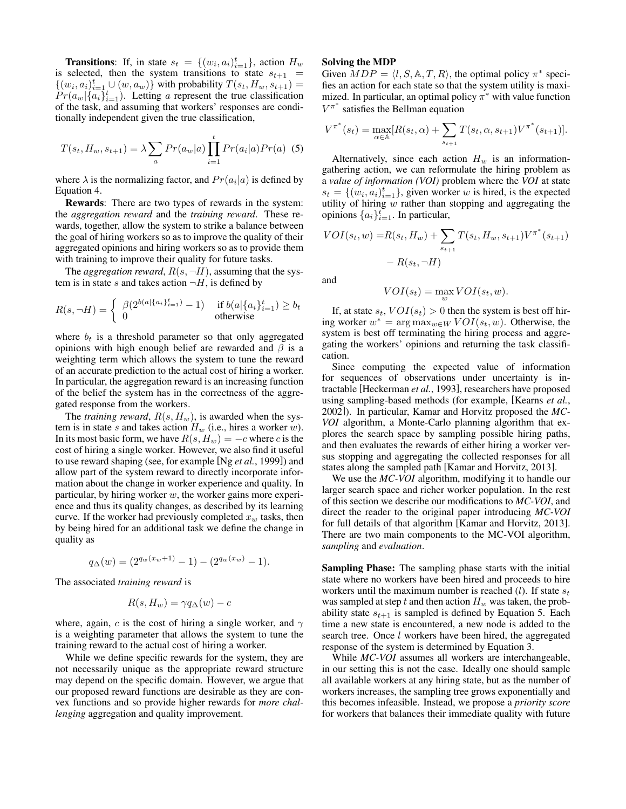**Transitions:** If, in state  $s_t = \{(w_i, a_i)_{i=1}^t\}$ , action  $H_w$ is selected, then the system transitions to state  $s_{t+1}$  =  $\{(w_i, a_i)_{i=1}^t \cup (w, a_w)\}\$  with probability  $T(s_t, H_w, s_{t+1}) =$  $Pr(a_w | \{a_i\}_{i=1}^t)$ . Letting a represent the true classification of the task, and assuming that workers' responses are conditionally independent given the true classification,

$$
T(s_t, H_w, s_{t+1}) = \lambda \sum_{a} Pr(a_w|a) \prod_{i=1}^{t} Pr(a_i|a) Pr(a)
$$
 (5)

where  $\lambda$  is the normalizing factor, and  $Pr(a_i|a)$  is defined by Equation 4.

Rewards: There are two types of rewards in the system: the *aggregation reward* and the *training reward*. These rewards, together, allow the system to strike a balance between the goal of hiring workers so as to improve the quality of their aggregated opinions and hiring workers so as to provide them with training to improve their quality for future tasks.

The *aggregation reward*,  $R(s, \neg H)$ , assuming that the system is in state s and takes action  $\neg H$ , is defined by

$$
R(s, \neg H) = \begin{cases} \beta(2^{b(a|\{a_i\}_{i=1}^t)} - 1) & \text{if } b(a|\{a_i\}_{i=1}^t) \ge b_t \\ 0 & \text{otherwise} \end{cases}
$$

where  $b_t$  is a threshold parameter so that only aggregated opinions with high enough belief are rewarded and  $\beta$  is a weighting term which allows the system to tune the reward of an accurate prediction to the actual cost of hiring a worker. In particular, the aggregation reward is an increasing function of the belief the system has in the correctness of the aggregated response from the workers.

The *training reward*,  $R(s, H_w)$ , is awarded when the system is in state s and takes action  $H_w$  (i.e., hires a worker w). In its most basic form, we have  $R(s, H_w) = -c$  where c is the cost of hiring a single worker. However, we also find it useful to use reward shaping (see, for example [Ng *et al.*, 1999]) and allow part of the system reward to directly incorporate information about the change in worker experience and quality. In particular, by hiring worker  $w$ , the worker gains more experience and thus its quality changes, as described by its learning curve. If the worker had previously completed  $x_w$  tasks, then by being hired for an additional task we define the change in quality as

$$
q_{\Delta}(w) = (2^{q_w(x_w+1)} - 1) - (2^{q_w(x_w)} - 1).
$$

The associated *training reward* is

$$
R(s, H_w) = \gamma q_\Delta(w) - c
$$

where, again, c is the cost of hiring a single worker, and  $\gamma$ is a weighting parameter that allows the system to tune the training reward to the actual cost of hiring a worker.

While we define specific rewards for the system, they are not necessarily unique as the appropriate reward structure may depend on the specific domain. However, we argue that our proposed reward functions are desirable as they are convex functions and so provide higher rewards for *more challenging* aggregation and quality improvement.

#### Solving the MDP

Given  $MDP = \langle l, S, \mathbb{A}, T, R \rangle$ , the optimal policy  $\pi^*$  specifies an action for each state so that the system utility is maximized. In particular, an optimal policy  $\pi^*$  with value function  $V^{\pi^*}$  satisfies the Bellman equation

$$
V^{\pi^*}(s_t) = \max_{\alpha \in \mathbb{A}} [R(s_t, \alpha) + \sum_{s_{t+1}} T(s_t, \alpha, s_{t+1}) V^{\pi^*}(s_{t+1})].
$$

Alternatively, since each action  $H_w$  is an informationgathering action, we can reformulate the hiring problem as a *value of information (VOI)* problem where the *VOI* at state  $s_t = \{(w_i, a_i)_{i=1}^t\}$ , given worker w is hired, is the expected utility of hiring  $w$  rather than stopping and aggregating the opinions  $\{a_i\}_{i=1}^t$ . In particular,

$$
VOI(s_t, w) = R(s_t, H_w) + \sum_{s_{t+1}} T(s_t, H_w, s_{t+1}) V^{\pi^*}(s_{t+1}) - R(s_t, \neg H)
$$

and

$$
VOI(s_t) = \max_{w} VOI(s_t, w).
$$

If, at state  $s_t$ ,  $VOI(s_t) > 0$  then the system is best off hiring worker  $w^* = \arg \max_{w \in W} VOI(s_t, w)$ . Otherwise, the system is best off terminating the hiring process and aggregating the workers' opinions and returning the task classification.

Since computing the expected value of information for sequences of observations under uncertainty is intractable [Heckerman *et al.*, 1993], researchers have proposed using sampling-based methods (for example, [Kearns *et al.*, 2002]). In particular, Kamar and Horvitz proposed the *MC-VOI* algorithm, a Monte-Carlo planning algorithm that explores the search space by sampling possible hiring paths, and then evaluates the rewards of either hiring a worker versus stopping and aggregating the collected responses for all states along the sampled path [Kamar and Horvitz, 2013].

We use the *MC-VOI* algorithm, modifying it to handle our larger search space and richer worker population. In the rest of this section we describe our modifications to *MC-VOI*, and direct the reader to the original paper introducing *MC-VOI* for full details of that algorithm [Kamar and Horvitz, 2013]. There are two main components to the MC-VOI algorithm, *sampling* and *evaluation*.

Sampling Phase: The sampling phase starts with the initial state where no workers have been hired and proceeds to hire workers until the maximum number is reached  $(l)$ . If state  $s_t$ was sampled at step t and then action  $H_w$  was taken, the probability state  $s_{t+1}$  is sampled is defined by Equation 5. Each time a new state is encountered, a new node is added to the search tree. Once *l* workers have been hired, the aggregated response of the system is determined by Equation 3.

While *MC-VOI* assumes all workers are interchangeable, in our setting this is not the case. Ideally one should sample all available workers at any hiring state, but as the number of workers increases, the sampling tree grows exponentially and this becomes infeasible. Instead, we propose a *priority score* for workers that balances their immediate quality with future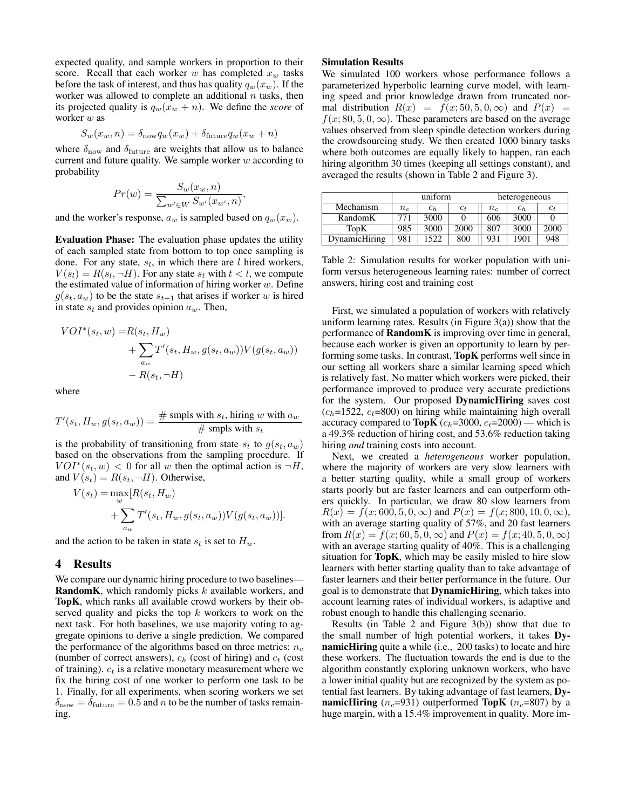expected quality, and sample workers in proportion to their score. Recall that each worker w has completed  $x_w$  tasks before the task of interest, and thus has quality  $q_w(x_w)$ . If the worker was allowed to complete an additional  $n$  tasks, then its projected quality is  $q_w(x_w + n)$ . We define the *score* of worker w as

$$
S_w(x_w, n) = \delta_{\text{now}} q_w(x_w) + \delta_{\text{future}} q_w(x_w + n)
$$

where  $\delta_{\text{now}}$  and  $\delta_{\text{future}}$  are weights that allow us to balance current and future quality. We sample worker  $w$  according to probability

$$
Pr(w) = \frac{S_w(x_w, n)}{\sum_{w' \in W} S_{w'}(x_{w'}, n)},
$$

and the worker's response,  $a_w$  is sampled based on  $q_w(x_w)$ .

Evaluation Phase: The evaluation phase updates the utility of each sampled state from bottom to top once sampling is done. For any state,  $s_l$ , in which there are  $l$  hired workers,  $V(s_l) = R(s_l, \neg H)$ . For any state  $s_t$  with  $t < l$ , we compute the estimated value of information of hiring worker  $w$ . Define  $g(s_t, a_w)$  to be the state  $s_{t+1}$  that arises if worker w is hired in state  $s_t$  and provides opinion  $a_w$ . Then,

$$
VOI^*(s_t, w) = R(s_t, H_w)
$$
  
+ 
$$
\sum_{a_w} T'(s_t, H_w, g(s_t, a_w)) V(g(s_t, a_w))
$$
  
- 
$$
R(s_t, \neg H)
$$

where

$$
T'(s_t, H_w, g(s_t, a_w)) = \frac{\# \text{ smpls with } s_t, \text{ hiring } w \text{ with } a_w}{\# \text{ smpls with } s_t}
$$

is the probability of transitioning from state  $s_t$  to  $g(s_t, a_w)$ based on the observations from the sampling procedure. If  $VOI^*(s_t, w) < 0$  for all w then the optimal action is  $\neg H$ , and  $V(s_t) = R(s_t, \neg H)$ . Otherwise,

$$
V(st) = \max_{w} [R(st, Hw)
$$
  
+ 
$$
\sum_{a_w} T'(st, Hw, g(st, aw))V(g(st, aw))].
$$

and the action to be taken in state  $s_t$  is set to  $H_w$ .

#### 4 Results

We compare our dynamic hiring procedure to two baselines— **RandomK**, which randomly picks  $k$  available workers, and TopK, which ranks all available crowd workers by their observed quality and picks the top  $k$  workers to work on the next task. For both baselines, we use majority voting to aggregate opinions to derive a single prediction. We compared the performance of the algorithms based on three metrics:  $n_c$ (number of correct answers),  $c_h$  (cost of hiring) and  $c_t$  (cost of training).  $c_t$  is a relative monetary measurement where we fix the hiring cost of one worker to perform one task to be 1. Finally, for all experiments, when scoring workers we set  $\delta_{\text{now}} = \delta_{\text{future}} = 0.5$  and *n* to be the number of tasks remaining.

#### Simulation Results

We simulated 100 workers whose performance follows a parameterized hyperbolic learning curve model, with learning speed and prior knowledge drawn from truncated normal distribution  $R(x) = f(x; 50, 5, 0, \infty)$  and  $P(x) =$  $f(x; 80, 5, 0, \infty)$ . These parameters are based on the average values observed from sleep spindle detection workers during the crowdsourcing study. We then created 1000 binary tasks where both outcomes are equally likely to happen, ran each hiring algorithm 30 times (keeping all settings constant), and averaged the results (shown in Table 2 and Figure 3).

|               | uniform |       |       | heterogeneous |       |       |
|---------------|---------|-------|-------|---------------|-------|-------|
| Mechanism     | $n_c$   | $c_h$ | $c_t$ | $n_c$         | $c_h$ | $c_t$ |
| RandomK       | 771     | 3000  |       | 606           | 3000  |       |
| TopK          | 985     | 3000  | 2000  | 807           | 3000  | 2000  |
| DynamicHiring | 981     | 1522  | 800   | 931           | 1901  | 948   |

Table 2: Simulation results for worker population with uniform versus heterogeneous learning rates: number of correct answers, hiring cost and training cost

First, we simulated a population of workers with relatively uniform learning rates. Results (in Figure  $3(a)$ ) show that the performance of RandomK is improving over time in general, because each worker is given an opportunity to learn by performing some tasks. In contrast, TopK performs well since in our setting all workers share a similar learning speed which is relatively fast. No matter which workers were picked, their performance improved to produce very accurate predictions for the system. Our proposed DynamicHiring saves cost  $(c_h=1522, c_t=800)$  on hiring while maintaining high overall accuracy compared to **TopK** ( $c_h$ =3000,  $c_t$ =2000) — which is a 49.3% reduction of hiring cost, and 53.6% reduction taking hiring *and* training costs into account.

Next, we created a *heterogeneous* worker population, where the majority of workers are very slow learners with a better starting quality, while a small group of workers starts poorly but are faster learners and can outperform others quickly. In particular, we draw 80 slow learners from  $R(x) = f(x; 600, 5, 0, \infty)$  and  $P(x) = f(x; 800, 10, 0, \infty)$ , with an average starting quality of 57%, and 20 fast learners from  $R(x) = f(x; 60, 5, 0, \infty)$  and  $P(x) = f(x; 40, 5, 0, \infty)$ with an average starting quality of 40%. This is a challenging situation for TopK, which may be easily misled to hire slow learners with better starting quality than to take advantage of faster learners and their better performance in the future. Our goal is to demonstrate that DynamicHiring, which takes into account learning rates of individual workers, is adaptive and robust enough to handle this challenging scenario.

Results (in Table 2 and Figure 3(b)) show that due to the small number of high potential workers, it takes DynamicHiring quite a while (i.e., 200 tasks) to locate and hire these workers. The fluctuation towards the end is due to the algorithm constantly exploring unknown workers, who have a lower initial quality but are recognized by the system as potential fast learners. By taking advantage of fast learners, DynamicHiring  $(n_c=931)$  outperformed TopK  $(n_c=807)$  by a huge margin, with a 15.4% improvement in quality. More im-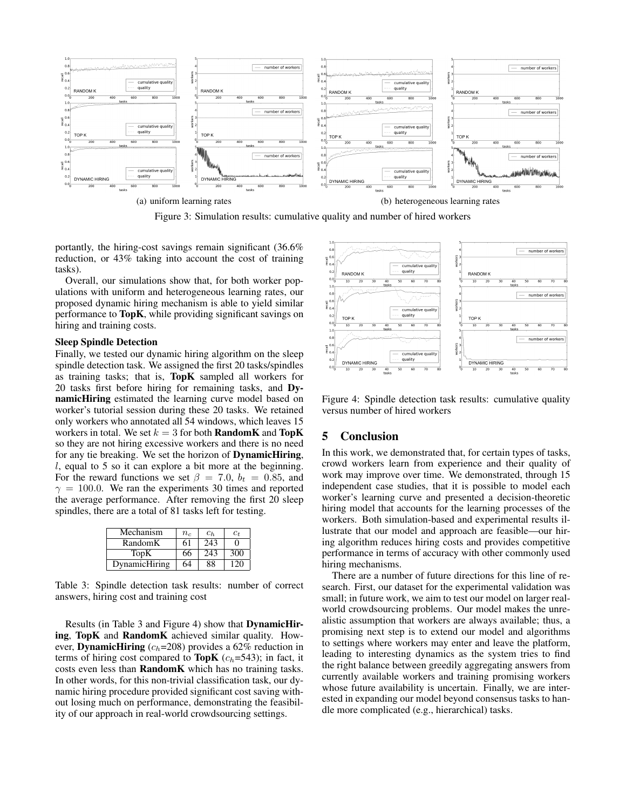

Figure 3: Simulation results: cumulative quality and number of hired workers

portantly, the hiring-cost savings remain significant (36.6% reduction, or 43% taking into account the cost of training tasks).

Overall, our simulations show that, for both worker populations with uniform and heterogeneous learning rates, our proposed dynamic hiring mechanism is able to yield similar performance to TopK, while providing significant savings on hiring and training costs.

#### Sleep Spindle Detection

Finally, we tested our dynamic hiring algorithm on the sleep spindle detection task. We assigned the first 20 tasks/spindles as training tasks; that is, TopK sampled all workers for 20 tasks first before hiring for remaining tasks, and DynamicHiring estimated the learning curve model based on worker's tutorial session during these 20 tasks. We retained only workers who annotated all 54 windows, which leaves 15 workers in total. We set  $k = 3$  for both **RandomK** and **TopK** so they are not hiring excessive workers and there is no need for any tie breaking. We set the horizon of DynamicHiring, l, equal to 5 so it can explore a bit more at the beginning. For the reward functions we set  $\beta = 7.0$ ,  $b_t = 0.85$ , and  $\gamma = 100.0$ . We ran the experiments 30 times and reported the average performance. After removing the first 20 sleep spindles, there are a total of 81 tasks left for testing.

| Mechanism     | $n_{c}$ | $c_h$ | $c_t$ |
|---------------|---------|-------|-------|
| RandomK       | 61      | 243   | 0     |
| TopK          | 66      | 243   | 300   |
| DynamicHiring | 64      | 88    | 120   |

Table 3: Spindle detection task results: number of correct answers, hiring cost and training cost

Results (in Table 3 and Figure 4) show that DynamicHiring, TopK and RandomK achieved similar quality. However, **DynamicHiring** ( $c_h$ =208) provides a 62% reduction in terms of hiring cost compared to **TopK** ( $c_h$ =543); in fact, it costs even less than RandomK which has no training tasks. In other words, for this non-trivial classification task, our dynamic hiring procedure provided significant cost saving without losing much on performance, demonstrating the feasibility of our approach in real-world crowdsourcing settings.



Figure 4: Spindle detection task results: cumulative quality versus number of hired workers

# 5 Conclusion

In this work, we demonstrated that, for certain types of tasks, crowd workers learn from experience and their quality of work may improve over time. We demonstrated, through 15 independent case studies, that it is possible to model each worker's learning curve and presented a decision-theoretic hiring model that accounts for the learning processes of the workers. Both simulation-based and experimental results illustrate that our model and approach are feasible—our hiring algorithm reduces hiring costs and provides competitive performance in terms of accuracy with other commonly used hiring mechanisms.

There are a number of future directions for this line of research. First, our dataset for the experimental validation was small; in future work, we aim to test our model on larger realworld crowdsourcing problems. Our model makes the unrealistic assumption that workers are always available; thus, a promising next step is to extend our model and algorithms to settings where workers may enter and leave the platform, leading to interesting dynamics as the system tries to find the right balance between greedily aggregating answers from currently available workers and training promising workers whose future availability is uncertain. Finally, we are interested in expanding our model beyond consensus tasks to handle more complicated (e.g., hierarchical) tasks.